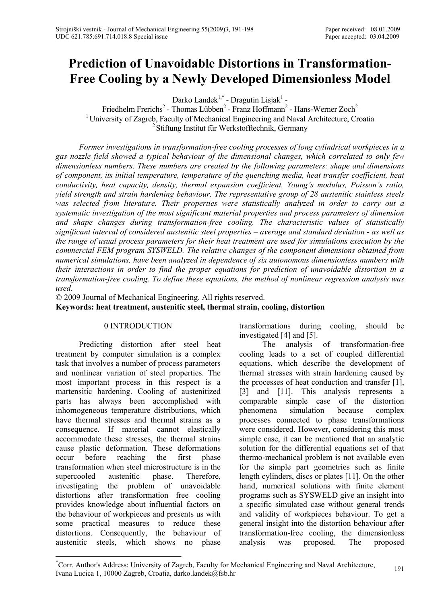# **Prediction of Unavoidable Distortions in Transformation-Free Cooling by a Newly Developed Dimensionless Model**

Darko Landek<sup>1,\*</sup> - Dragutin Lisjak<sup>1</sup> -

Friedhelm Frerichs<sup>2</sup> - Thomas Lübben<sup>2</sup> - Franz Hoffmann<sup>2</sup> - Hans-Werner Zoch<sup>2</sup> <sup>1</sup> University of Zagreb, Faculty of Mechanical Engineering and Naval Architecture, Croatia <sup>2</sup> Stiftung Institut für Werkstofftechnik, Germany

*Former investigations in transformation-free cooling processes of long cylindrical workpieces in a gas nozzle field showed a typical behaviour of the dimensional changes, which correlated to only few dimensionless numbers. These numbers are created by the following parameters: shape and dimensions of component, its initial temperature, temperature of the quenching media, heat transfer coefficient, heat conductivity, heat capacity, density, thermal expansion coefficient, Young's modulus, Poisson's ratio, yield strength and strain hardening behaviour. The representative group of 28 austenitic stainless steels was selected from literature. Their properties were statistically analyzed in order to carry out a systematic investigation of the most significant material properties and process parameters of dimension and shape changes during transformation-free cooling. The characteristic values of statistically significant interval of considered austenitic steel properties – average and standard deviation - as well as the range of usual process parameters for their heat treatment are used for simulations execution by the commercial FEM program SYSWELD. The relative changes of the component dimensions obtained from numerical simulations, have been analyzed in dependence of six autonomous dimensionless numbers with their interactions in order to find the proper equations for prediction of unavoidable distortion in a transformation-free cooling. To define these equations, the method of nonlinear regression analysis was used.* 

© 2009 Journal of Mechanical Engineering. All rights reserved. **Keywords: heat treatment, austenitic steel, thermal strain, cooling, distortion** 

# 0 INTRODUCTION

Predicting distortion after steel heat treatment by computer simulation is a complex task that involves a number of process parameters and nonlinear variation of steel properties. The most important process in this respect is a martensitic hardening. Cooling of austenitized parts has always been accomplished with inhomogeneous temperature distributions, which have thermal stresses and thermal strains as a consequence. If material cannot elastically accommodate these stresses, the thermal strains cause plastic deformation. These deformations occur before reaching the first phase transformation when steel microstructure is in the supercooled austenitic phase. Therefore, investigating the problem of unavoidable distortions after transformation free cooling provides knowledge about influential factors on the behaviour of workpieces and presents us with some practical measures to reduce these distortions. Consequently, the behaviour of austenitic steels, which shows no phase

transformations during cooling, should be investigated [4] and [5].

The analysis of transformation-free cooling leads to a set of coupled differential equations, which describe the development of thermal stresses with strain hardening caused by the processes of heat conduction and transfer [1], [3] and [11]. This analysis represents a comparable simple case of the distortion phenomena simulation because complex processes connected to phase transformations were considered. However, considering this most simple case, it can be mentioned that an analytic solution for the differential equations set of that thermo-mechanical problem is not available even for the simple part geometries such as finite length cylinders, discs or plates [11]. On the other hand, numerical solutions with finite element programs such as SYSWELD give an insight into a specific simulated case without general trends and validity of workpieces behaviour. To get a general insight into the distortion behaviour after transformation-free cooling, the dimensionless analysis was proposed. The proposed

<sup>\*</sup> Corr. Author's Address: University of Zagreb, Faculty for Mechanical Engineering and Naval Architecture, Lon. Addition 8 Address. University of Zagreb, ractify for Mechanical Engineering and Naval Architecture, 191<br>Ivana Lucica 1, 10000 Zagreb, Croatia, darko.landek@fsb.hr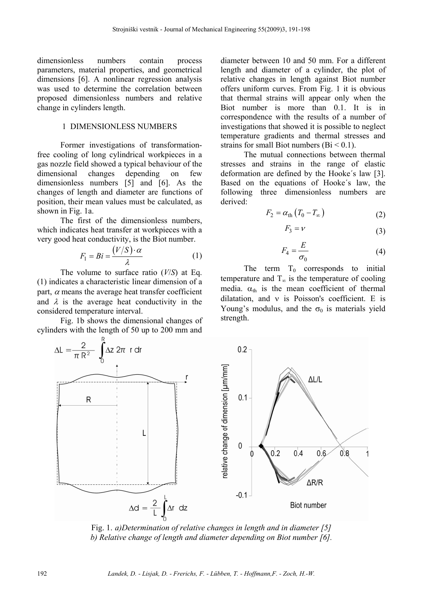dimensionless numbers contain process parameters, material properties, and geometrical dimensions [6]. A nonlinear regression analysis was used to determine the correlation between proposed dimensionless numbers and relative change in cylinders length.

# 1 DIMENSIONLESS NUMBERS

Former investigations of transformationfree cooling of long cylindrical workpieces in a gas nozzle field showed a typical behaviour of the dimensional changes depending on few dimensionless numbers [5] and [6]. As the changes of length and diameter are functions of position, their mean values must be calculated, as shown in Fig. 1a.

The first of the dimensionless numbers, which indicates heat transfer at workpieces with a very good heat conductivity, is the Biot number.

$$
F_1 = Bi = \frac{(V/S) \cdot \alpha}{\lambda} \tag{1}
$$

The volume to surface ratio (*V*/*S*) at Eq. (1) indicates a characteristic linear dimension of a part,  $\alpha$  means the average heat transfer coefficient and  $\lambda$  is the average heat conductivity in the considered temperature interval.

Fig. 1b shows the dimensional changes of cylinders with the length of 50 up to 200 mm and

diameter between 10 and 50 mm. For a different length and diameter of a cylinder, the plot of relative changes in length against Biot number offers uniform curves. From Fig. 1 it is obvious that thermal strains will appear only when the Biot number is more than 0.1. It is in correspondence with the results of a number of investigations that showed it is possible to neglect temperature gradients and thermal stresses and strains for small Biot numbers  $(Bi < 0.1)$ .

The mutual connections between thermal stresses and strains in the range of elastic deformation are defined by the Hooke´s law [3]. Based on the equations of Hooke´s law, the following three dimensionless numbers are derived:

$$
F_2 = \alpha_{\text{th}} \left( T_0 - T_{\infty} \right) \tag{2}
$$

$$
F_3 = \nu \tag{3}
$$

$$
F_4 = \frac{E}{\sigma_0} \tag{4}
$$

The term  $T_0$  corresponds to initial temperature and  $T_{\infty}$  is the temperature of cooling media.  $\alpha_{\text{th}}$  is the mean coefficient of thermal dilatation, and ν is Poisson's coefficient. E is Young's modulus, and the  $\sigma_0$  is materials yield strength.



Fig. 1. *a)Determination of relative changes in length and in diameter [5] b) Relative change of length and diameter depending on Biot number [6].*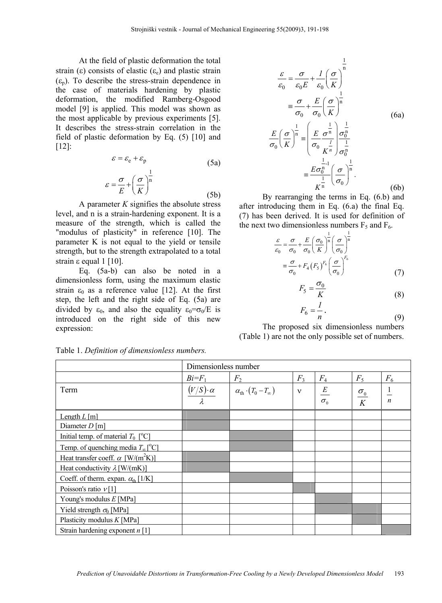At the field of plastic deformation the total strain (ε) consists of elastic ( $\varepsilon_e$ ) and plastic strain  $(\varepsilon_n)$ . To describe the stress-strain dependence in the case of materials hardening by plastic deformation, the modified Ramberg-Osgood model [9] is applied. This model was shown as the most applicable by previous experiments [5]. It describes the stress-strain correlation in the field of plastic deformation by Eq. (5) [10] and [12]:

$$
\varepsilon = \varepsilon_e + \varepsilon_p \tag{5a}
$$

$$
\varepsilon = \frac{\sigma}{E} + \left(\frac{\sigma}{K}\right)^{\frac{1}{n}}
$$
 (5b)

A parameter *K* signifies the absolute stress level, and n is a strain-hardening exponent. It is a measure of the strength, which is called the "modulus of plasticity" in reference [10]. The parameter K is not equal to the yield or tensile strength, but to the strength extrapolated to a total strain  $ε$  equal 1 [10].

Eq. (5a-b) can also be noted in a dimensionless form, using the maximum elastic strain  $\varepsilon_0$  as a reference value [12]. At the first step, the left and the right side of Eq. (5a) are divided by  $\varepsilon_0$ , and also the equality  $\varepsilon_0 = \sigma_0 / E$  is introduced on the right side of this new expression:

$$
\frac{\varepsilon}{\varepsilon_0} = \frac{\sigma}{\varepsilon_0 E} + \frac{l}{\varepsilon_0} \left(\frac{\sigma}{K}\right)^{\frac{1}{n}}
$$

$$
\equiv \frac{\sigma}{\sigma_0} + \frac{E}{\sigma_0} \left(\frac{\sigma}{K}\right)^{\frac{1}{n}}
$$
(6a)
$$
\frac{E}{\sigma_0} \left(\frac{\sigma}{K}\right)^{\frac{1}{n}} \equiv \left(\frac{E}{\sigma_0} \frac{\sigma^{\frac{1}{n}}}{K^{\frac{1}{n}}} \right) \frac{\sigma_0^{\frac{1}{n}}}{\sigma_0^{\frac{1}{n}}}
$$

$$
\equiv \frac{E \sigma_0^{\frac{1}{n-1}}}{K^{\frac{1}{n}}} \left(\frac{\sigma}{\sigma_0}\right)^{\frac{1}{n}}.
$$
(6b)

By rearranging the terms in Eq. (6.b) and after introducing them in Eq. (6.a) the final Eq. (7) has been derived. It is used for definition of the next two dimensionless numbers  $F_5$  and  $F_6$ .

$$
\frac{\varepsilon}{\varepsilon_0} = \frac{\sigma}{\sigma_0} + \frac{E}{\sigma_0} \left(\frac{\sigma_0}{K}\right)^{\frac{1}{n}} \left(\frac{\sigma}{\sigma_0}\right)^{\frac{1}{n}}
$$

$$
\equiv \frac{\sigma}{\sigma_0} + F_4 \left(F_5\right)^{F_6} \left(\frac{\sigma}{\sigma_0}\right)^{F_6}
$$
(7)

$$
F_5 = \frac{\sigma_0}{K} \tag{8}
$$

$$
F_6 = \frac{1}{n} \,. \tag{9}
$$

The proposed six dimensionless numbers (Table 1) are not the only possible set of numbers.

|                                                      |                      | Dimensionless number                      |              |                 |                      |                  |  |  |  |  |
|------------------------------------------------------|----------------------|-------------------------------------------|--------------|-----------------|----------------------|------------------|--|--|--|--|
|                                                      | $Bi = F_1$           | F <sub>2</sub>                            | $F_3$        | $F_4$           | $F_5$                | $F_6$            |  |  |  |  |
| Term                                                 | $(V/S) \cdot \alpha$ | $\alpha_{\text{th}}\cdot(T_0-T_{\infty})$ | $\mathbf{v}$ | $E_{\parallel}$ |                      |                  |  |  |  |  |
|                                                      |                      |                                           |              | $\sigma_{0}$    | $\frac{\sigma_0}{K}$ | $\boldsymbol{n}$ |  |  |  |  |
| Length $L$ [m]                                       |                      |                                           |              |                 |                      |                  |  |  |  |  |
| Diameter $D$ [m]                                     |                      |                                           |              |                 |                      |                  |  |  |  |  |
| Initial temp. of material $T_0$ [°C]                 |                      |                                           |              |                 |                      |                  |  |  |  |  |
| Temp. of quenching media $T_{\infty}[^{\circ}C]$     |                      |                                           |              |                 |                      |                  |  |  |  |  |
| Heat transfer coeff. $\alpha$ [W/(m <sup>2</sup> K)] |                      |                                           |              |                 |                      |                  |  |  |  |  |
| Heat conductivity $\lambda$ [W/(mK)]                 |                      |                                           |              |                 |                      |                  |  |  |  |  |
| Coeff. of therm. expan. $\alpha_{\text{th}}$ [1/K]   |                      |                                           |              |                 |                      |                  |  |  |  |  |
| Poisson's ratio $\nu$ [1]                            |                      |                                           |              |                 |                      |                  |  |  |  |  |
| Young's modulus $E$ [MPa]                            |                      |                                           |              |                 |                      |                  |  |  |  |  |
| Yield strength $\sigma_0$ [MPa]                      |                      |                                           |              |                 |                      |                  |  |  |  |  |
| Plasticity modulus $K$ [MPa]                         |                      |                                           |              |                 |                      |                  |  |  |  |  |
| Strain hardening exponent $n \lfloor 1 \rfloor$      |                      |                                           |              |                 |                      |                  |  |  |  |  |

Table 1. *Definition of dimensionless numbers.*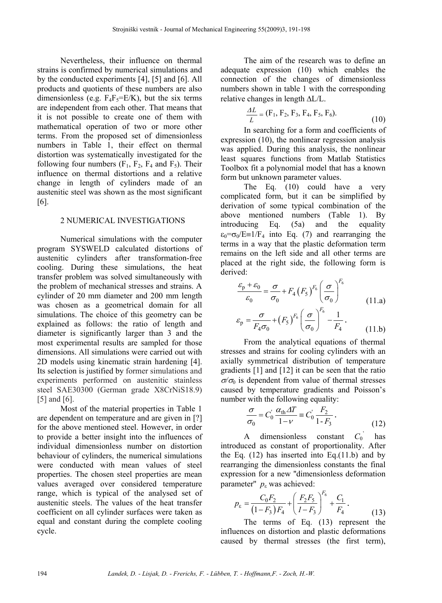Nevertheless, their influence on thermal strains is confirmed by numerical simulations and by the conducted experiments [4], [5] and [6]. All products and quotients of these numbers are also dimensionless (e.g.  $F_4F_5=E/K$ ), but the six terms are independent from each other. That means that it is not possible to create one of them with mathematical operation of two or more other terms. From the proposed set of dimensionless numbers in Table 1, their effect on thermal distortion was systematically investigated for the following four numbers  $(F_1, F_2, F_4$  and  $F_5)$ . Their influence on thermal distortions and a relative change in length of cylinders made of an austenitic steel was shown as the most significant [6].

## 2 NUMERICAL INVESTIGATIONS

Numerical simulations with the computer program SYSWELD calculated distortions of austenitic cylinders after transformation-free cooling. During these simulations, the heat transfer problem was solved simultaneously with the problem of mechanical stresses and strains. A cylinder of 20 mm diameter and 200 mm length was chosen as a geometrical domain for all simulations. The choice of this geometry can be explained as follows: the ratio of length and diameter is significantly larger than 3 and the most experimental results are sampled for those dimensions. All simulations were carried out with 2D models using kinematic strain hardening [4]. Its selection is justified by former simulations and experiments performed on austenitic stainless steel SAE30300 (German grade X8CrNiS18.9) [5] and [6].

Most of the material properties in Table 1 are dependent on temperature and are given in [?] for the above mentioned steel. However, in order to provide a better insight into the influences of individual dimensionless number on distortion behaviour of cylinders, the numerical simulations were conducted with mean values of steel properties. The chosen steel properties are mean values averaged over considered temperature range, which is typical of the analysed set of austenitic steels. The values of the heat transfer coefficient on all cylinder surfaces were taken as equal and constant during the complete cooling cycle.

The aim of the research was to define an adequate expression (10) which enables the connection of the changes of dimensionless numbers shown in table 1 with the corresponding relative changes in length ΔL/L.

$$
\frac{\Delta L}{L} = (\mathbf{F}_1, \mathbf{F}_2, \mathbf{F}_3, \mathbf{F}_4, \mathbf{F}_5, \mathbf{F}_6). \tag{10}
$$

In searching for a form and coefficients of expression (10), the nonlinear regression analysis was applied. During this analysis, the nonlinear least squares functions from Matlab Statistics Toolbox fit a polynomial model that has a known form but unknown parameter values.

The Eq. (10) could have a very complicated form, but it can be simplified by derivation of some typical combination of the above mentioned numbers (Table 1). By introducing Eq. (5a) and the equality  $\varepsilon_0 = \sigma_0 / E = 1 / F_4$  into Eq. (7) and rearranging the terms in a way that the plastic deformation term remains on the left side and all other terms are placed at the right side, the following form is derived:

$$
\frac{\varepsilon_{\rm p} + \varepsilon_{\rm 0}}{\varepsilon_{\rm 0}} = \frac{\sigma}{\sigma_{\rm 0}} + F_4 \left( F_5 \right)^{F_6} \left( \frac{\sigma}{\sigma_{\rm 0}} \right)^{F_6} \tag{11.a}
$$

$$
\varepsilon_{\rm p} = \frac{\sigma}{F_4 \sigma_0} + \left(F_5\right)^{F_6} \left(\frac{\sigma}{\sigma_0}\right)^{F_6} - \frac{1}{F_4} \,. \tag{11.b}
$$

From the analytical equations of thermal stresses and strains for cooling cylinders with an axially symmetrical distribution of temperature gradients [1] and [12] it can be seen that the ratio  $\sigma/\sigma_0$  is dependent from value of thermal stresses caused by temperature gradients and Poisson's number with the following equality:

$$
\frac{\sigma}{\sigma_0} = C_0' \frac{\alpha_{\text{th}} \Delta T}{1 - \nu} \equiv C_0' \frac{F_2}{1 - F_3}.
$$
\n(12)

A dimensionless constant  $C_0$  has introduced as constant of proportionality. After the Eq.  $(12)$  has inserted into Eq. $(11.b)$  and by rearranging the dimensionless constants the final expression for a new ''dimensionless deformation parameter"  $p<sub>s</sub>$  was achieved:

$$
p_{\varepsilon} = \frac{C_0 F_2}{\left(1 - F_3\right) F_4} + \left(\frac{F_2 F_5}{I - F_3}\right)^{F_6} + \frac{C_1}{F_4}.
$$
\n(13)

The terms of Eq. (13) represent the influences on distortion and plastic deformations caused by thermal stresses (the first term),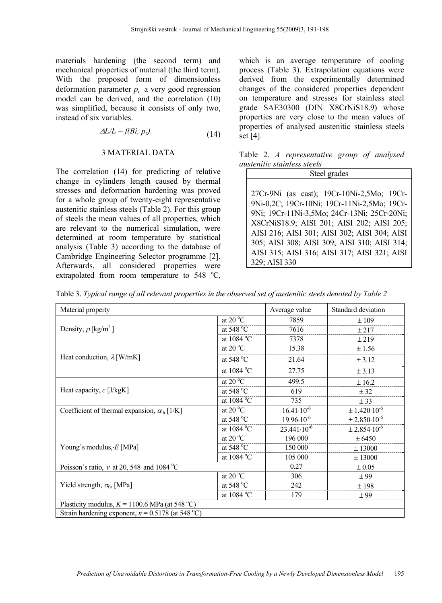materials hardening (the second term) and mechanical properties of material (the third term). With the proposed form of dimensionless deformation parameter  $p_{\varepsilon}$  a very good regression model can be derived, and the correlation (10) was simplified, because it consists of only two, instead of six variables.

$$
\Delta L/L = f(Bi, p_s). \tag{14}
$$

#### 3 MATERIAL DATA

The correlation (14) for predicting of relative change in cylinders length caused by thermal stresses and deformation hardening was proved for a whole group of twenty-eight representative austenitic stainless steels (Table 2). For this group of steels the mean values of all properties, which are relevant to the numerical simulation, were determined at room temperature by statistical analysis (Table 3) according to the database of Cambridge Engineering Selector programme [2]. Afterwards, all considered properties were extrapolated from room temperature to  $548 °C$ ,

which is an average temperature of cooling process (Table 3). Extrapolation equations were derived from the experimentally determined changes of the considered properties dependent on temperature and stresses for stainless steel grade SAE30300 (DIN X8CrNiS18.9) whose properties are very close to the mean values of properties of analysed austenitic stainless steels set [4].

|  | Table 2. A representative group of analysed |  |  |
|--|---------------------------------------------|--|--|
|  | <i>austenitic stainless steels</i>          |  |  |

| Steel grades                                 |  |  |  |  |  |  |
|----------------------------------------------|--|--|--|--|--|--|
|                                              |  |  |  |  |  |  |
| 27Cr-9Ni (as cast); 19Cr-10Ni-2,5Mo; 19Cr-   |  |  |  |  |  |  |
| 9Ni-0,2C; 19Cr-10Ni; 19Cr-11Ni-2,5Mo; 19Cr-  |  |  |  |  |  |  |
| 9Ni; 19Cr-11Ni-3,5Mo; 24Cr-13Ni; 25Cr-20Ni;  |  |  |  |  |  |  |
| X8CrNiS18.9; AISI 201; AISI 202; AISI 205;   |  |  |  |  |  |  |
| AISI 216; AISI 301; AISI 302; AISI 304; AISI |  |  |  |  |  |  |
| 305; AISI 308; AISI 309; AISI 310; AISI 314; |  |  |  |  |  |  |
| AISI 315; AISI 316; AISI 317; AISI 321; AISI |  |  |  |  |  |  |
| 329; AISI 330                                |  |  |  |  |  |  |

Table 3. *Typical range of all relevant properties in the observed set of austenitic steels denoted by Table 2* 

| Material property                                            |                                      | Average value          | Standard deviation           |  |  |  |  |  |
|--------------------------------------------------------------|--------------------------------------|------------------------|------------------------------|--|--|--|--|--|
|                                                              | at 20 $\mathrm{^{\circ}C}$           | 7859                   | ±109                         |  |  |  |  |  |
| Density, $\rho$ [kg/m <sup>3</sup> ]                         | at $548 °C$                          | 7616                   | ± 217                        |  |  |  |  |  |
|                                                              | at $1084 \degree C$                  | 7378                   | ±219                         |  |  |  |  |  |
|                                                              | at 20 $\mathrm{^{\circ}C}$           | 15.38                  | ±1.56                        |  |  |  |  |  |
| Heat conduction, $\lambda$ [W/mK]                            | at 548 $^{\circ}$ C                  | 21.64                  | ± 3.12                       |  |  |  |  |  |
|                                                              | at $1084$ °C                         | 27.75                  | ± 3.13                       |  |  |  |  |  |
|                                                              | at 20 $\mathrm{^{\circ}C}$           | 499.5                  | ± 16.2                       |  |  |  |  |  |
| Heat capacity, $c$ [J/kgK]                                   | at 548 °C                            | 619                    | ± 32                         |  |  |  |  |  |
|                                                              | at 1084 °C                           | 735                    | ± 33                         |  |  |  |  |  |
| Coefficient of thermal expansion, $\alpha_{\text{th}}$ [1/K] | at 20 $\mathrm{^{\circ}C}$           | $16.41 \cdot 10^{-6}$  | $\pm$ 1.420.10 <sup>-6</sup> |  |  |  |  |  |
|                                                              | at 548 $^{\circ}$ C                  | $19.96 \cdot 10^{-6}$  | $\pm 2.850 \cdot 10^{-6}$    |  |  |  |  |  |
|                                                              | at 1084 °C                           | $23.441 \cdot 10^{-6}$ | $\pm 2.854 \cdot 10^{-6}$    |  |  |  |  |  |
|                                                              | at $20\overline{{}^{\circ}\text{C}}$ | 196 000                | ± 6450                       |  |  |  |  |  |
| Young's modulus, $E$ [MPa]                                   | at $548^{\circ}$ C                   | 150 000                | ± 13000                      |  |  |  |  |  |
|                                                              | at 1084 °C                           | 105 000                | ± 13000                      |  |  |  |  |  |
| Poisson's ratio, $\nu$ at 20, 548 and 1084 °C                |                                      | 0.27<br>$\pm 0.05$     |                              |  |  |  |  |  |
|                                                              | at $20^{\circ}$ C                    | 306                    | ± 99                         |  |  |  |  |  |
| Yield strength, $\sigma_0$ , [MPa]                           | at $548 °C$                          | 242                    | ±198                         |  |  |  |  |  |
|                                                              | at 1084 °C                           | 179                    | ± 99                         |  |  |  |  |  |
| Plasticity modulus, $K = 1100.6$ MPa (at 548 °C)             |                                      |                        |                              |  |  |  |  |  |
| Strain hardening exponent, $n = 0.5178$ (at 548 °C)          |                                      |                        |                              |  |  |  |  |  |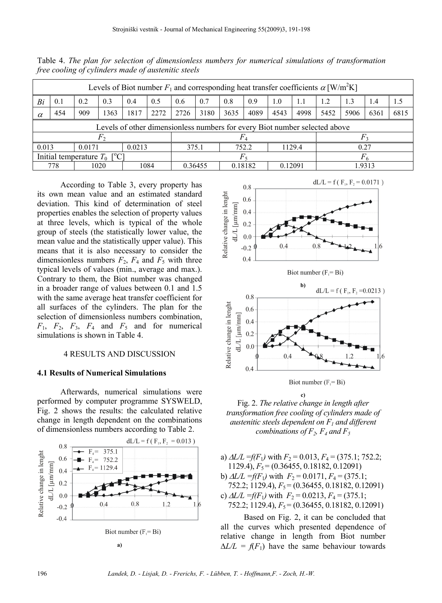| Levels of Biot number $F_1$ and corresponding heat transfer coefficients $\alpha$ [W/m <sup>2</sup> K] |     |     |      |                                  |      |      |         |      |         |      |         |      |      |      |      |
|--------------------------------------------------------------------------------------------------------|-----|-----|------|----------------------------------|------|------|---------|------|---------|------|---------|------|------|------|------|
| Bi                                                                                                     | 0.1 | 0.2 | 0.3  | 0.4                              | 0.5  | 0.6  | 0.7     | 0.8  | 0.9     | 1.0  | 1.1     | 1.2  | 1.3  | 1.4  | 1.5  |
| $\alpha$                                                                                               | 454 | 909 | 1363 | 1817                             | 2272 | 2726 | 3180    | 3635 | 4089    | 4543 | 4998    | 5452 | 5906 | 6361 | 6815 |
| Levels of other dimensionless numbers for every Biot number selected above                             |     |     |      |                                  |      |      |         |      |         |      |         |      |      |      |      |
|                                                                                                        |     |     |      |                                  |      |      |         |      |         |      |         |      |      |      |      |
| 0.013<br>0.0213<br>0.0171                                                                              |     |     |      | 752.2<br>1129.4<br>375.1<br>0.27 |      |      |         |      |         |      |         |      |      |      |      |
| Initial temperature $T_0$<br>$\Gamma^0$ $C1$                                                           |     |     |      |                                  |      |      |         |      |         |      |         |      |      |      |      |
|                                                                                                        | 778 |     | 1020 |                                  | 1084 |      | 0.36455 |      | 0.18182 |      | 0 12091 | 9313 |      |      |      |

Table 4. *The plan for selection of dimensionless numbers for numerical simulations of transformation free cooling of cylinders made of austenitic steels* 

According to Table 3, every property has its own mean value and an estimated standard deviation. This kind of determination of steel properties enables the selection of property values at three levels, which is typical of the whole group of steels (the statistically lower value, the mean value and the statistically upper value). This means that it is also necessary to consider the dimensionless numbers  $F_2$ ,  $F_4$  and  $F_5$  with three typical levels of values (min., average and max.). Contrary to them, the Biot number was changed in a broader range of values between 0.1 and 1.5 with the same average heat transfer coefficient for all surfaces of the cylinders. The plan for the selection of dimensionless numbers combination,  $F_1$ ,  $F_2$ ,  $F_3$ ,  $F_4$  and  $F_5$  and for numerical simulations is shown in Table 4.

## 4 RESULTS AND DISCUSSION

#### **4.1 Results of Numerical Simulations**

Afterwards, numerical simulations were performed by computer programme SYSWELD, Fig. 2 shows the results: the calculated relative change in length dependent on the combinations of dimensionless numbers according to Table 2.





Fig. 2. *The relative change in length after transformation free cooling of cylinders made of austenitic steels dependent on F1 and different combinations of F<sub>2</sub>, F<sub>4</sub> and F<sub>5</sub>* 

- a)  $\Delta L/L = f(F_1)$  with  $F_2 = 0.013$ ,  $F_4 = (375.1; 752.2;$ 1129.4),  $F_5 = (0.36455, 0.18182, 0.12091)$
- b)  $\Delta L/L = f(F_1)$  with  $F_2 = 0.0171$ ,  $F_4 = (375.1)$ ; 752.2; 1129.4),  $F_5 = (0.36455, 0.18182, 0.12091)$ c)  $\Delta L/L = f(F_1)$  with  $F_2 = 0.0213$ ,  $F_4 = (375.1)$ ;
- 752.2; 1129.4),  $F_5 = (0.36455, 0.18182, 0.12091)$

Based on Fig. 2, it can be concluded that all the curves which presented dependence of relative change in length from Biot number  $\Delta L/L = f(F_1)$  have the same behaviour towards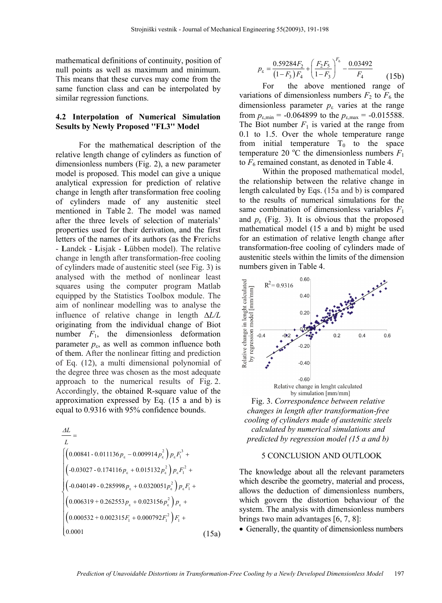mathematical definitions of continuity, position of null points as well as maximum and minimum. This means that these curves may come from the same function class and can be interpolated by similar regression functions.

# **4.2 Interpolation of Numerical Simulation Sesults by Newly Proposed ''FL3'' Model**

For the mathematical description of the relative length change of cylinders as function of dimensionless numbers (Fig. 2), a new parameter model is proposed. This model can give a unique analytical expression for prediction of relative change in length after transformation free cooling of cylinders made of any austenitic steel mentioned in Table 2. The model was named after the three levels of selection of materials' properties used for their derivation, and the first letters of the names of its authors (as the **F**rerichs - **L**andek - **L**isjak - **L**übben model). The relative change in length after transformation-free cooling of cylinders made of austenitic steel (see Fig. 3) is analysed with the method of nonlinear least squares using the computer program Matlab equipped by the Statistics Toolbox module. The aim of nonlinear modelling was to analyse the influence of relative change in length Δ*L/L* originating from the individual change of Biot number  $F_1$ , the dimensionless deformation parameter  $p_{\varepsilon}$ , as well as common influence both of them. After the nonlinear fitting and prediction of Eq. (12), a multi dimensional polynomial of the degree three was chosen as the most adequate approach to the numerical results of Fig. 2. Accordingly, the obtained R-square value of the approximation expressed by Eq. (15 a and b) is equal to 0.9316 with 95% confidence bounds.

$$
\frac{\Delta L}{L} = \left[\left(0.00841 - 0.011136p_{\epsilon} - 0.009914p_{\epsilon}^{2}\right)p_{\epsilon}F_{1}^{3} + \right] \left(0.00841 - 0.011136p_{\epsilon} + 0.015132p_{\epsilon}^{2}\right)p_{\epsilon}F_{1}^{2} + \left(0.040149 - 0.285998p_{\epsilon} + 0.0320051p_{\epsilon}^{2}\right)p_{\epsilon}F_{1} + \left(0.006319 + 0.262553p_{\epsilon} + 0.023156p_{\epsilon}^{2}\right)p_{\epsilon} + \left(0.000532 + 0.002315F_{1} + 0.000792F_{1}^{2}\right)F_{1} + \left(0.0001\right)
$$
\n(15a)

$$
p_{\varepsilon} = \frac{0.59284F_2}{(1 - F_3)F_4} + \left(\frac{F_2 F_5}{1 - F_3}\right)^{F_6} - \frac{0.03492}{F_4}
$$
 (15b)

For the above mentioned range of variations of dimensionless numbers  $F_2$  to  $F_6$  the dimensionless parameter  $p_{\varepsilon}$  varies at the range from  $p_{\text{min}} = -0.064899$  to the  $p_{\text{max}} = -0.015588$ . The Biot number  $F_1$  is varied at the range from 0.1 to 1.5. Over the whole temperature range from initial temperature  $T_0$  to the space temperature 20 °C the dimensionless numbers  $F_1$ to  $F<sub>6</sub>$  remained constant, as denoted in Table 4.

Within the proposed mathematical model, the relationship between the relative change in length calculated by Eqs. (15a and b) is compared to the results of numerical simulations for the same combination of dimensionless variables *F*<sup>1</sup> and  $p_{\varepsilon}$  (Fig. 3). It is obvious that the proposed mathematical model (15 a and b) might be used for an estimation of relative length change after transformation-free cooling of cylinders made of austenitic steels within the limits of the dimension numbers given in Table 4.



Fig. 3. *Correspondence between relative changes in length after transformation-free cooling of cylinders made of austenitic steels calculated by numerical simulations and predicted by regression model (15 a and b)*

## 5 CONCLUSION AND OUTLOOK

The knowledge about all the relevant parameters which describe the geometry, material and process, allows the deduction of dimensionless numbers, which govern the distortion behaviour of the system. The analysis with dimensionless numbers brings two main advantages [6, 7, 8]:

• Generally, the quantity of dimensionless numbers